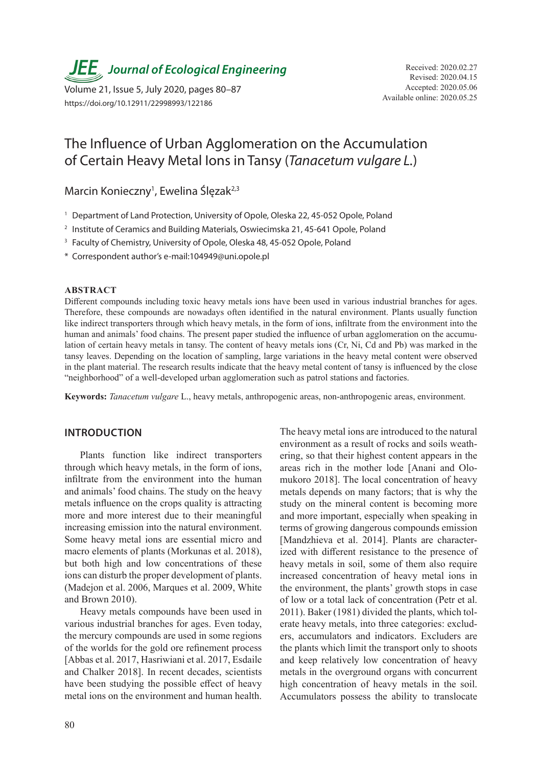**JEE** Journal of Ecological Engineering Received: 2020.02.27

Available online: 2020.05.25 Volume 21, Issue 5, July 2020, pages 80–87 https://doi.org/10.12911/22998993/122186

# The Influence of Urban Agglomeration on the Accumulation of Certain Heavy Metal Ions in Tansy (*Tanacetum vulgare L.*)

Marcin Konieczny<sup>1</sup>, Ewelina Ślęzak<sup>2,3</sup>

- <sup>1</sup> Department of Land Protection, University of Opole, Oleska 22, 45-052 Opole, Poland
- <sup>2</sup> Institute of Ceramics and Building Materials, Oswiecimska 21, 45-641 Opole, Poland
- <sup>3</sup> Faculty of Chemistry, University of Opole, Oleska 48, 45-052 Opole, Poland
- \* Correspondent author's e-mail:104949@uni.opole.pl

#### **ABSTRACT**

Different compounds including toxic heavy metals ions have been used in various industrial branches for ages. Therefore, these compounds are nowadays often identified in the natural environment. Plants usually function like indirect transporters through which heavy metals, in the form of ions, infiltrate from the environment into the human and animals' food chains. The present paper studied the influence of urban agglomeration on the accumulation of certain heavy metals in tansy. The content of heavy metals ions (Cr, Ni, Cd and Pb) was marked in the tansy leaves. Depending on the location of sampling, large variations in the heavy metal content were observed in the plant material. The research results indicate that the heavy metal content of tansy is influenced by the close "neighborhood" of a well-developed urban agglomeration such as patrol stations and factories.

**Keywords:** *Tanacetum vulgare* L., heavy metals, anthropogenic areas, non-anthropogenic areas, environment.

### **INTRODUCTION**

Plants function like indirect transporters through which heavy metals, in the form of ions, infiltrate from the environment into the human and animals' food chains. The study on the heavy metals influence on the crops quality is attracting more and more interest due to their meaningful increasing emission into the natural environment. Some heavy metal ions are essential micro and macro elements of plants (Morkunas et al. 2018), but both high and low concentrations of these ions can disturb the proper development of plants. (Madejon et al. 2006, Marques et al. 2009, White and Brown 2010).

Heavy metals compounds have been used in various industrial branches for ages. Even today, the mercury compounds are used in some regions of the worlds for the gold ore refinement process [Abbas et al. 2017, Hasriwiani et al. 2017, Esdaile and Chalker 2018]. In recent decades, scientists have been studying the possible effect of heavy metal ions on the environment and human health. The heavy metal ions are introduced to the natural environment as a result of rocks and soils weathering, so that their highest content appears in the areas rich in the mother lode [Anani and Olomukoro 2018]. The local concentration of heavy metals depends on many factors; that is why the study on the mineral content is becoming more and more important, especially when speaking in terms of growing dangerous compounds emission [Mandzhieva et al. 2014]. Plants are characterized with different resistance to the presence of heavy metals in soil, some of them also require increased concentration of heavy metal ions in the environment, the plants' growth stops in case of low or a total lack of concentration (Petr et al. 2011). Baker (1981) divided the plants, which tolerate heavy metals, into three categories: excluders, accumulators and indicators. Excluders are the plants which limit the transport only to shoots and keep relatively low concentration of heavy metals in the overground organs with concurrent high concentration of heavy metals in the soil. Accumulators possess the ability to translocate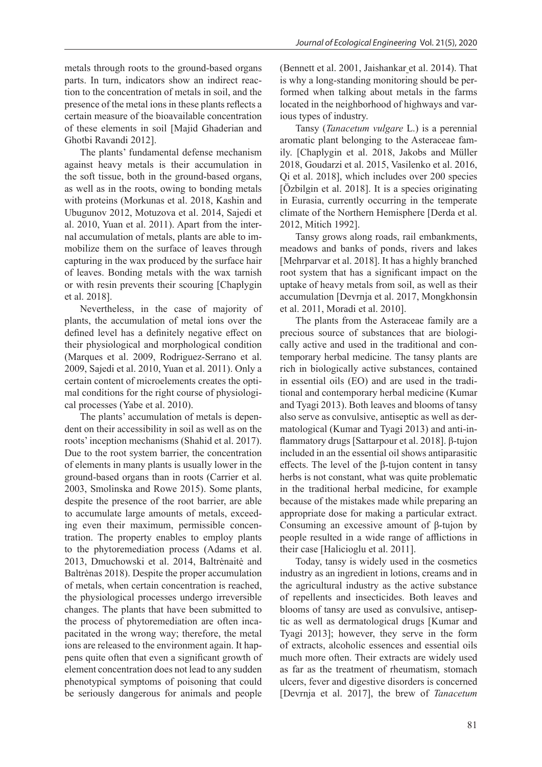metals through roots to the ground-based organs parts. In turn, indicators show an indirect reaction to the concentration of metals in soil, and the presence of the metal ions in these plants reflects a certain measure of the bioavailable concentration of these elements in soil [Majid Ghaderian and Ghotbi Ravandi 2012].

The plants' fundamental defense mechanism against heavy metals is their accumulation in the soft tissue, both in the ground-based organs, as well as in the roots, owing to bonding metals with proteins (Morkunas et al. 2018, Kashin and Ubugunov 2012, Motuzova et al. 2014, Sajedi et al. 2010, Yuan et al. 2011). Apart from the internal accumulation of metals, plants are able to immobilize them on the surface of leaves through capturing in the wax produced by the surface hair of leaves. Bonding metals with the wax tarnish or with resin prevents their scouring [Chaplygin et al. 2018].

Nevertheless, in the case of majority of plants, the accumulation of metal ions over the defined level has a definitely negative effect on their physiological and morphological condition (Marques et al. 2009, Rodriguez-Serrano et al. 2009, Sajedi et al. 2010, Yuan et al. 2011). Only a certain content of microelements creates the optimal conditions for the right course of physiological processes (Yabe et al. 2010).

The plants' accumulation of metals is dependent on their accessibility in soil as well as on the roots' inception mechanisms (Shahid et al. 2017). Due to the root system barrier, the concentration of elements in many plants is usually lower in the ground-based organs than in roots (Carrier et al. 2003, Smolinska and Rowe 2015). Some plants, despite the presence of the root barrier, are able to accumulate large amounts of metals, exceeding even their maximum, permissible concentration. The property enables to employ plants to the phytoremediation process (Adams et al. 2013, Dmuchowski et al. 2014, Baltrėnaitė and Baltrėnas 2018). Despite the proper accumulation of metals, when certain concentration is reached, the physiological processes undergo irreversible changes. The plants that have been submitted to the process of phytoremediation are often incapacitated in the wrong way; therefore, the metal ions are released to the environment again. It happens quite often that even a significant growth of element concentration does not lead to any sudden phenotypical symptoms of poisoning that could be seriously dangerous for animals and people

(Bennett et al. 2001, Jaishankar et al. 2014). That is why a long-standing monitoring should be performed when talking about metals in the farms located in the neighborhood of highways and various types of industry.

Tansy (*Tanacetum vulgare* L.) is a perennial aromatic plant belonging to the Asteraceae family. [Chaplygin et al. 2018, Jakobs and Müller 2018, Goudarzi et al. 2015, Vasilenko et al. 2016, Qi et al. 2018], which includes over 200 species [Özbilgin et al. 2018]. It is a species originating in Eurasia, currently occurring in the temperate climate of the Northern Hemisphere [Derda et al. 2012, Mitich 1992].

Tansy grows along roads, rail embankments, meadows and banks of ponds, rivers and lakes [Mehrparvar et al. 2018]. It has a highly branched root system that has a significant impact on the uptake of heavy metals from soil, as well as their accumulation [Devrnja et al. 2017, Mongkhonsin et al. 2011, Moradi et al. 2010].

The plants from the Asteraceae family are a precious source of substances that are biologically active and used in the traditional and contemporary herbal medicine. The tansy plants are rich in biologically active substances, contained in essential oils (EO) and are used in the traditional and contemporary herbal medicine (Kumar and Tyagi 2013). Both leaves and blooms of tansy also serve as convulsive, antiseptic as well as dermatological (Kumar and Tyagi 2013) and anti-inflammatory drugs [Sattarpour et al. 2018]. β-tujon included in an the essential oil shows antiparasitic effects. The level of the β-tujon content in tansy herbs is not constant, what was quite problematic in the traditional herbal medicine, for example because of the mistakes made while preparing an appropriate dose for making a particular extract. Consuming an excessive amount of β-tujon by people resulted in a wide range of afflictions in their case [Halicioglu et al. 2011].

Today, tansy is widely used in the cosmetics industry as an ingredient in lotions, creams and in the agricultural industry as the active substance of repellents and insecticides. Both leaves and blooms of tansy are used as convulsive, antiseptic as well as dermatological drugs [Kumar and Tyagi 2013]; however, they serve in the form of extracts, alcoholic essences and essential oils much more often. Their extracts are widely used as far as the treatment of rheumatism, stomach ulcers, fever and digestive disorders is concerned [Devrnja et al. 2017], the brew of *Tanacetum*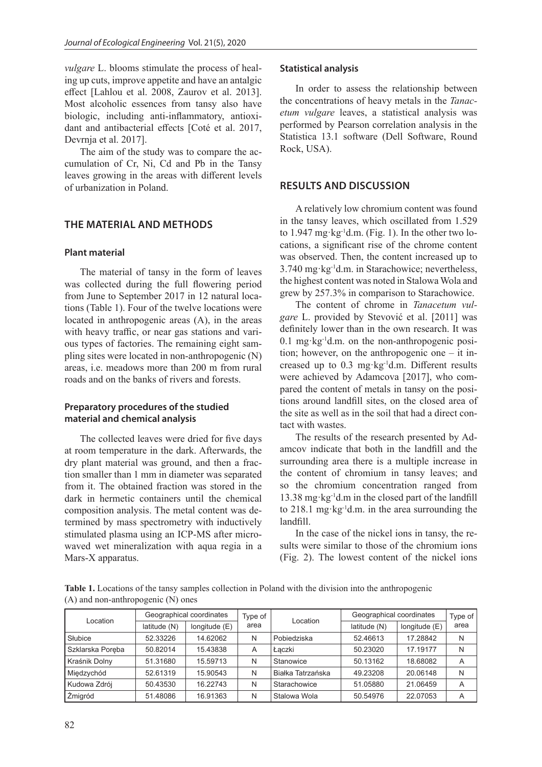*vulgare* L. blooms stimulate the process of healing up cuts, improve appetite and have an antalgic effect [Lahlou et al. 2008, Zaurov et al. 2013]. Most alcoholic essences from tansy also have biologic, including anti-inflammatory, antioxidant and antibacterial effects [Coté et al. 2017, Devrnja et al. 2017].

The aim of the study was to compare the accumulation of Cr, Ni, Cd and Pb in the Tansy leaves growing in the areas with different levels of urbanization in Poland.

# **THE MATERIAL AND METHODS**

#### **Plant material**

The material of tansy in the form of leaves was collected during the full flowering period from June to September 2017 in 12 natural locations (Table 1). Four of the twelve locations were located in anthropogenic areas (A), in the areas with heavy traffic, or near gas stations and various types of factories. The remaining eight sampling sites were located in non-anthropogenic (N) areas, i.e. meadows more than 200 m from rural roads and on the banks of rivers and forests.

# **Preparatory procedures of the studied material and chemical analysis**

The collected leaves were dried for five days at room temperature in the dark. Afterwards, the dry plant material was ground, and then a fraction smaller than 1 mm in diameter was separated from it. The obtained fraction was stored in the dark in hermetic containers until the chemical composition analysis. The metal content was determined by mass spectrometry with inductively stimulated plasma using an ICP-MS after microwaved wet mineralization with aqua regia in a Mars-X apparatus.

### **Statistical analysis**

In order to assess the relationship between the concentrations of heavy metals in the *Tanacetum vulgare* leaves, a statistical analysis was performed by Pearson correlation analysis in the Statistica 13.1 software (Dell Software, Round Rock, USA).

# **RESULTS AND DISCUSSION**

A relatively low chromium content was found in the tansy leaves, which oscillated from 1.529 to  $1.947 \text{ mg} \cdot \text{kg}^{-1}$ d.m. (Fig. 1). In the other two locations, a significant rise of the chrome content was observed. Then, the content increased up to 3.740 mg·kg-1d.m. in Starachowice; nevertheless, the highest content was noted in Stalowa Wola and grew by 257.3% in comparison to Starachowice.

The content of chrome in *Tanacetum vulgare* L. provided by Stevović et al. [2011] was definitely lower than in the own research. It was  $0.1$  mg·kg<sup>-1</sup>d.m. on the non-anthropogenic position; however, on the anthropogenic one – it increased up to  $0.3$  mg·kg<sup>-1</sup>d.m. Different results were achieved by Adamcova [2017], who compared the content of metals in tansy on the positions around landfill sites, on the closed area of the site as well as in the soil that had a direct contact with wastes.

The results of the research presented by Adamcov indicate that both in the landfill and the surrounding area there is a multiple increase in the content of chromium in tansy leaves; and so the chromium concentration ranged from 13.38 mg·kg-1d.m in the closed part of the landfill to  $218.1 \text{ mg} \cdot \text{kg}^{-1} \text{d.m.}$  in the area surrounding the landfill.

In the case of the nickel ions in tansy, the results were similar to those of the chromium ions (Fig. 2). The lowest content of the nickel ions

**Table 1.** Locations of the tansy samples collection in Poland with the division into the anthropogenic (A) and non-anthropogenic (N) ones

| Location         | Geographical coordinates |               | Type of | Location          | Geographical coordinates |               | Type of |
|------------------|--------------------------|---------------|---------|-------------------|--------------------------|---------------|---------|
|                  | latitude (N)             | longitude (E) | area    |                   | latitude (N)             | longitude (E) | area    |
| Słubice          | 52.33226                 | 14.62062      | N       | Pobiedziska       | 52.46613                 | 17.28842      | N       |
| Szklarska Poreba | 50.82014                 | 15.43838      | A       | Łaczki            | 50.23020                 | 17.19177      | N       |
| Kraśnik Dolny    | 51.31680                 | 15.59713      | N       | Stanowice         | 50.13162                 | 18.68082      | Α       |
| Miedzychód       | 52.61319                 | 15.90543      | N       | Białka Tatrzańska | 49.23208                 | 20.06148      | N       |
| Kudowa Zdrój     | 50.43530                 | 16.22743      | N       | Starachowice      | 51.05880                 | 21.06459      | A       |
| Žmigród          | 51.48086                 | 16.91363      | N       | Stalowa Wola      | 50.54976                 | 22.07053      | Α       |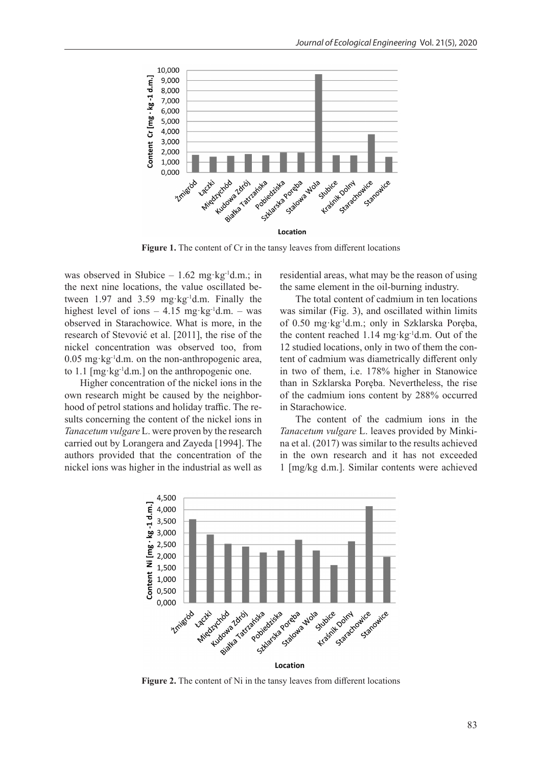

Figure 1. The content of Cr in the tansy leaves from different locations

was observed in Słubice –  $1.62$  mg·kg<sup>-1</sup>d.m.; in the next nine locations, the value oscillated between 1.97 and 3.59 mg·kg-1d.m. Finally the highest level of ions  $-4.15$  mg·kg<sup>-1</sup>d.m.  $-$  was observed in Starachowice. What is more, in the research of Stevović et al. [2011], the rise of the nickel concentration was observed too, from  $0.05$  mg·kg<sup>-1</sup>d.m. on the non-anthropogenic area, to 1.1 [mg·kg-1d.m.] on the anthropogenic one.

Higher concentration of the nickel ions in the own research might be caused by the neighborhood of petrol stations and holiday traffic. The results concerning the content of the nickel ions in *Tanacetum vulgare* L. were proven by the research carried out by Lorangera and Zayeda [1994]. The authors provided that the concentration of the nickel ions was higher in the industrial as well as

residential areas, what may be the reason of using the same element in the oil-burning industry.

The total content of cadmium in ten locations was similar (Fig. 3), and oscillated within limits of 0.50 mg·kg-1d.m.; only in Szklarska Poręba, the content reached  $1.14 \text{ mg} \cdot \text{kg}^{-1} \text{d} \cdot \text{m}$ . Out of the 12 studied locations, only in two of them the content of cadmium was diametrically different only in two of them, i.e. 178% higher in Stanowice than in Szklarska Poręba. Nevertheless, the rise of the cadmium ions content by 288% occurred in Starachowice.

The content of the cadmium ions in the *Tanacetum vulgare* L. leaves provided by Minkina et al. (2017) was similar to the results achieved in the own research and it has not exceeded 1 [mg/kg d.m.]. Similar contents were achieved



**Figure 2.** The content of Ni in the tansy leaves from different locations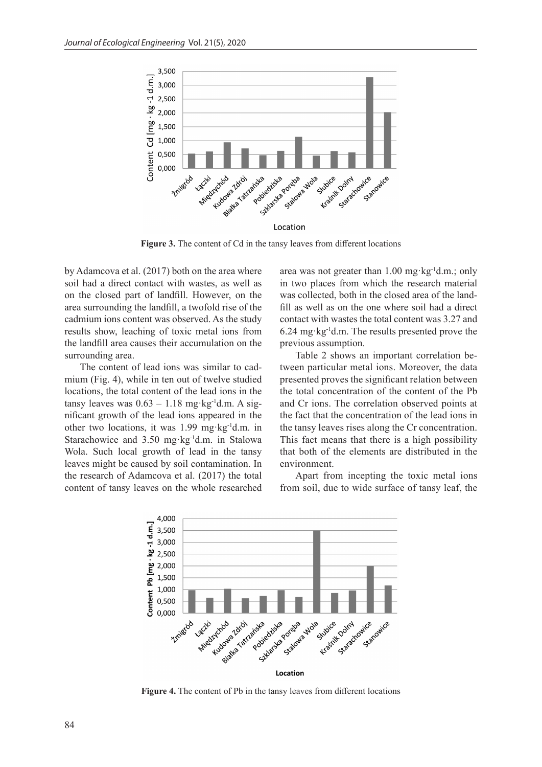

Figure 3. The content of Cd in the tansy leaves from different locations

by Adamcova et al. (2017) both on the area where soil had a direct contact with wastes, as well as on the closed part of landfill. However, on the area surrounding the landfill, a twofold rise of the cadmium ions content was observed. As the study results show, leaching of toxic metal ions from the landfill area causes their accumulation on the surrounding area.

The content of lead ions was similar to cadmium (Fig. 4), while in ten out of twelve studied locations, the total content of the lead ions in the tansy leaves was  $0.63 - 1.18$  mg·kg<sup>-1</sup>d.m. A significant growth of the lead ions appeared in the other two locations, it was 1.99 mg·kg-1d.m. in Starachowice and 3.50 mg·kg-1d.m. in Stalowa Wola. Such local growth of lead in the tansy leaves might be caused by soil contamination. In the research of Adamcova et al. (2017) the total content of tansy leaves on the whole researched

area was not greater than  $1.00$  mg·kg<sup>-1</sup>d.m.; only in two places from which the research material was collected, both in the closed area of the landfill as well as on the one where soil had a direct contact with wastes the total content was 3.27 and 6.24 mg·kg-1d.m. The results presented prove the previous assumption.

Table 2 shows an important correlation between particular metal ions. Moreover, the data presented proves the significant relation between the total concentration of the content of the Pb and Cr ions. The correlation observed points at the fact that the concentration of the lead ions in the tansy leaves rises along the Cr concentration. This fact means that there is a high possibility that both of the elements are distributed in the environment.

Apart from incepting the toxic metal ions from soil, due to wide surface of tansy leaf, the



**Figure 4.** The content of Pb in the tansy leaves from different locations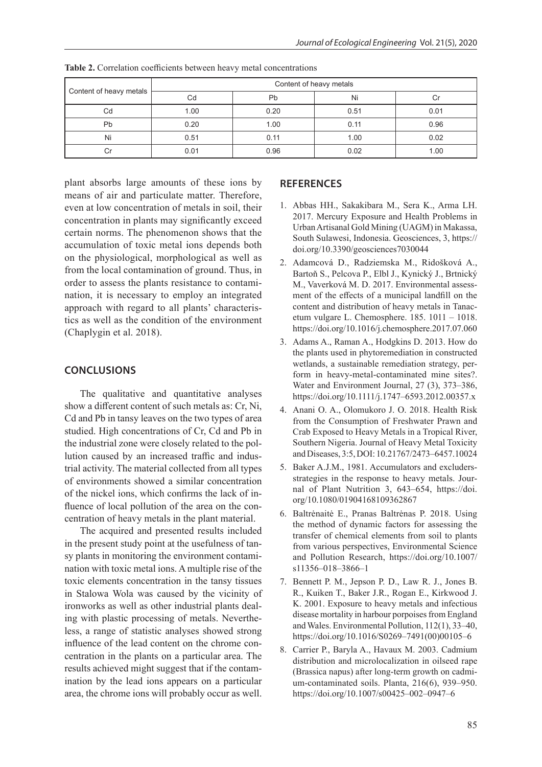|                         | Content of heavy metals |      |      |      |  |  |
|-------------------------|-------------------------|------|------|------|--|--|
| Content of heavy metals | Cd                      | Pb   | Ni   |      |  |  |
| Cd                      | 1.00                    | 0.20 | 0.51 | 0.01 |  |  |
| Pb                      | 0.20                    | 1.00 | 0.11 | 0.96 |  |  |
| Ni                      | 0.51                    | 0.11 | 1.00 | 0.02 |  |  |
| Сr                      | 0.01                    | 0.96 | 0.02 | 1.00 |  |  |

**Table 2.** Correlation coefficients between heavy metal concentrations

plant absorbs large amounts of these ions by means of air and particulate matter. Therefore, even at low concentration of metals in soil, their concentration in plants may significantly exceed certain norms. The phenomenon shows that the accumulation of toxic metal ions depends both on the physiological, morphological as well as from the local contamination of ground. Thus, in order to assess the plants resistance to contamination, it is necessary to employ an integrated approach with regard to all plants' characteristics as well as the condition of the environment (Chaplygin et al. 2018).

# **CONCLUSIONS**

The qualitative and quantitative analyses show a different content of such metals as: Cr, Ni, Cd and Pb in tansy leaves on the two types of area studied. High concentrations of Cr, Cd and Pb in the industrial zone were closely related to the pollution caused by an increased traffic and industrial activity. The material collected from all types of environments showed a similar concentration of the nickel ions, which confirms the lack of influence of local pollution of the area on the concentration of heavy metals in the plant material.

The acquired and presented results included in the present study point at the usefulness of tansy plants in monitoring the environment contamination with toxic metal ions. A multiple rise of the toxic elements concentration in the tansy tissues in Stalowa Wola was caused by the vicinity of ironworks as well as other industrial plants dealing with plastic processing of metals. Nevertheless, a range of statistic analyses showed strong influence of the lead content on the chrome concentration in the plants on a particular area. The results achieved might suggest that if the contamination by the lead ions appears on a particular area, the chrome ions will probably occur as well.

### **REFERENCES**

- 1. Abbas HH., Sakakibara M., Sera K., Arma LH. 2017. Mercury Exposure and Health Problems in Urban Artisanal Gold Mining (UAGM) in Makassa, South Sulawesi, Indonesia. Geosciences, 3, https:// doi.org/10.3390/geosciences7030044
- 2. Adamcová D., Radziemska M., Ridošková A., Bartoň S., Pelcova P., Elbl J., Kynický J., Brtnický M., Vaverková M. D. 2017. Environmental assessment of the effects of a municipal landfill on the content and distribution of heavy metals in Tanacetum vulgare L. Chemosphere. 185. 1011 – 1018. https://doi.org/10.1016/j.chemosphere.2017.07.060
- 3. Adams A., Raman A., Hodgkins D. 2013. How do the plants used in phytoremediation in constructed wetlands, a sustainable remediation strategy, perform in heavy-metal-contaminated mine sites?. Water and Environment Journal, 27 (3), 373–386, https://doi.org/10.1111/j.1747–6593.2012.00357.x
- 4. Anani O. A., Olomukoro J. O. 2018. Health Risk from the Consumption of Freshwater Prawn and Crab Exposed to Heavy Metals in a Tropical River, Southern Nigeria. Journal of Heavy Metal Toxicity and Diseases, 3:5, DOI: 10.21767/2473–6457.10024
- 5. Baker A.J.M., 1981. Accumulators and excludersstrategies in the response to heavy metals. Journal of Plant Nutrition 3, 643–654, https://doi. org/10.1080/01904168109362867
- 6. Baltrėnaitė E., Pranas Baltrėnas P. 2018. Using the method of dynamic factors for assessing the transfer of chemical elements from soil to plants from various perspectives, Environmental Science and Pollution Research, https://doi.org/10.1007/ s11356–018–3866–1
- 7. Bennett P. M., Jepson P. D., Law R. J., Jones B. R., Kuiken T., Baker J.R., Rogan E., Kirkwood J. K. 2001. Exposure to heavy metals and infectious disease mortality in harbour porpoises from England and Wales. Environmental Pollution, 112(1), 33–40, https://doi.org/10.1016/S0269–7491(00)00105–6
- 8. Carrier P., Baryla A., Havaux M. 2003. Cadmium distribution and microlocalization in oilseed rape (Brassica napus) after long-term growth on cadmium-contaminated soils. Planta, 216(6), 939–950. https://doi.org/10.1007/s00425–002–0947–6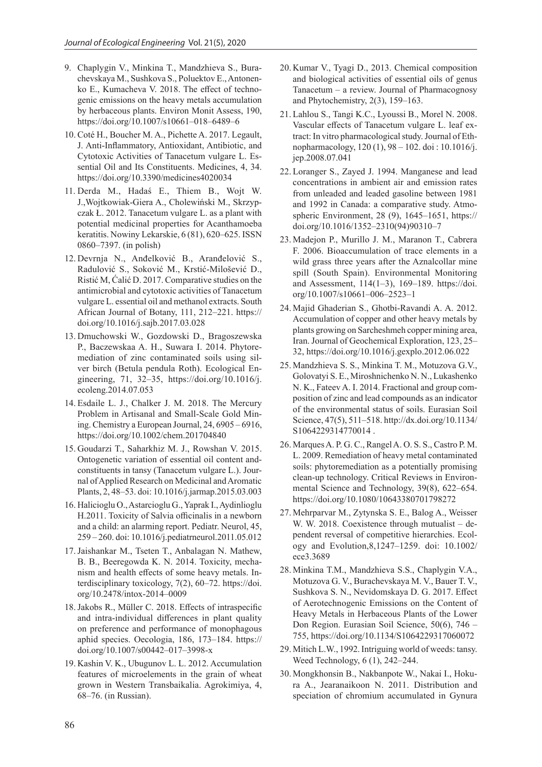- 9. Chaplygin V., Minkina T., Mandzhieva S., Burachevskaya M., Sushkova S., Poluektov E., Antonenko E., Kumacheva V. 2018. The effect of technogenic emissions on the heavy metals accumulation by herbaceous plants. Environ Monit Assess, 190, https://doi.org/10.1007/s10661–018–6489–6
- 10. Coté H., Boucher M. A., Pichette A. 2017. Legault, J. Anti-Inflammatory, Antioxidant, Antibiotic, and Cytotoxic Activities of Tanacetum vulgare L. Essential Oil and Its Constituents. Medicines, 4, 34. https://doi.org/10.3390/medicines4020034
- 11. Derda M., Hadaś E., Thiem B., Wojt W. J.,Wojtkowiak-Giera A., Cholewiński M., Skrzypczak Ł. 2012. Tanacetum vulgare L. as a plant with potential medicinal properties for Acanthamoeba keratitis. Nowiny Lekarskie, 6 (81), 620–625. ISSN 0860–7397. (in polish)
- 12. Devrnja N., Anđelković B., Aranđelović S., Radulović S., Soković M., Krstić-Milošević D., Ristić M, Ćalić D. 2017. Comparative studies on the antimicrobial and cytotoxic activities of Tanacetum vulgare L. essential oil and methanol extracts. South African Journal of Botany, 111, 212–221. https:// doi.org/10.1016/j.sajb.2017.03.028
- 13. Dmuchowski W., Gozdowski D., Bragoszewska P., Baczewskaa A. H., Suwara I. 2014. Phytoremediation of zinc contaminated soils using silver birch (Betula pendula Roth). Ecological Engineering, 71, 32–35, https://doi.org/10.1016/j. ecoleng.2014.07.053
- 14. Esdaile L. J., Chalker J. M. 2018. The Mercury Problem in Artisanal and Small-Scale Gold Mining. Chemistry a European Journal, 24, 6905 – 6916, https://doi.org/10.1002/chem.201704840
- 15. Goudarzi T., Saharkhiz M. J., Rowshan V. 2015. Ontogenetic variation of essential oil content andconstituents in tansy (Tanacetum vulgare L.). Journal of Applied Research on Medicinal and Aromatic Plants, 2, 48–53. doi: 10.1016/j.jarmap.2015.03.003
- 16. Halicioglu O., Astarcioglu G., Yaprak I., Aydinlioglu H.2011. Toxicity of Salvia officinalis in a newborn and a child: an alarming report. Pediatr. Neurol, 45, 259 – 260. doi: 10.1016/j.pediatrneurol.2011.05.012
- 17.Jaishankar M., Tseten T., Anbalagan N. Mathew, B. B., Beeregowda K. N. 2014. Toxicity, mechanism and health effects of some heavy metals. Interdisciplinary toxicology, 7(2), 60–72. https://doi. org/10.2478/intox-2014–0009
- 18.Jakobs R., Müller C. 2018. Effects of intraspecific and intra-individual differences in plant quality on preference and performance of monophagous aphid species. Oecologia, 186, 173–184. https:// doi.org/10.1007/s00442–017–3998-x
- 19. Kashin V. K., Ubugunov L. L. 2012. Accumulation features of microelements in the grain of wheat grown in Western Transbaikalia. Agrokimiya, 4, 68–76. (in Russian).
- 20. Kumar V., Tyagi D., 2013. Chemical composition and biological activities of essential oils of genus Tanacetum – a review. Journal of Pharmacognosy and Phytochemistry, 2(3), 159–163.
- 21. Lahlou S., Tangi K.C., Lyoussi B., Morel N. 2008. Vascular effects of Tanacetum vulgare L. leaf extract: In vitro pharmacological study. Journal of Ethnopharmacology, 120 (1), 98 – 102. doi : 10.1016/j. jep.2008.07.041
- 22. Loranger S., Zayed J. 1994. Manganese and lead concentrations in ambient air and emission rates from unleaded and leaded gasoline between 1981 and 1992 in Canada: a comparative study. Atmospheric Environment, 28 (9), 1645–1651, https:// doi.org/10.1016/1352–2310(94)90310–7
- 23. Madejon P., Murillo J. M., Maranon T., Cabrera F. 2006. Bioaccumulation of trace elements in a wild grass three years after the Aznalcollar mine spill (South Spain). Environmental Monitoring and Assessment, 114(1–3), 169–189. https://doi. org/10.1007/s10661–006–2523–1
- 24. Majid Ghaderian S., Ghotbi-Ravandi A. A. 2012. Accumulation of copper and other heavy metals by plants growing on Sarcheshmeh copper mining area, Iran. Journal of Geochemical Exploration, 123, 25– 32, https://doi.org/10.1016/j.gexplo.2012.06.022
- 25. Mandzhieva S. S., Minkina T. M., Motuzova G.V., Golovatyi S. E., Miroshnichenko N. N., Lukashenko N. K., Fateev A. I. 2014. Fractional and group composition of zinc and lead compounds as an indicator of the environmental status of soils. Eurasian Soil Science, 47(5), 511–518. http://dx.doi.org/10.1134/ S1064229314770014 .
- 26. Marques A. P. G. C., Rangel A. O. S. S., Castro P. M. L. 2009. Remediation of heavy metal contaminated soils: phytoremediation as a potentially promising clean-up technology. Critical Reviews in Environmental Science and Technology, 39(8), 622–654. https://doi.org/10.1080/10643380701798272
- 27. Mehrparvar M., Zytynska S. E., Balog A., Weisser W. W. 2018. Coexistence through mutualist – dependent reversal of competitive hierarchies. Ecology and Evolution,8,1247–1259. doi: 10.1002/ ece3.3689
- 28. Minkina T.M., Mandzhieva S.S., Chaplygin V.A., Motuzova G. V., Burachevskaya M. V., Bauer T. V., Sushkova S. N., Nevidomskaya D. G. 2017. Effect of Aerotechnogenic Emissions on the Content of Heavy Metals in Herbaceous Plants of the Lower Don Region. Eurasian Soil Science, 50(6), 746 – 755, https://doi.org/10.1134/S1064229317060072
- 29. Mitich L.W., 1992. Intriguing world of weeds: tansy. Weed Technology, 6 (1), 242–244.
- 30. Mongkhonsin B., Nakbanpote W., Nakai I., Hokura A., Jearanaikoon N. 2011. Distribution and speciation of chromium accumulated in Gynura